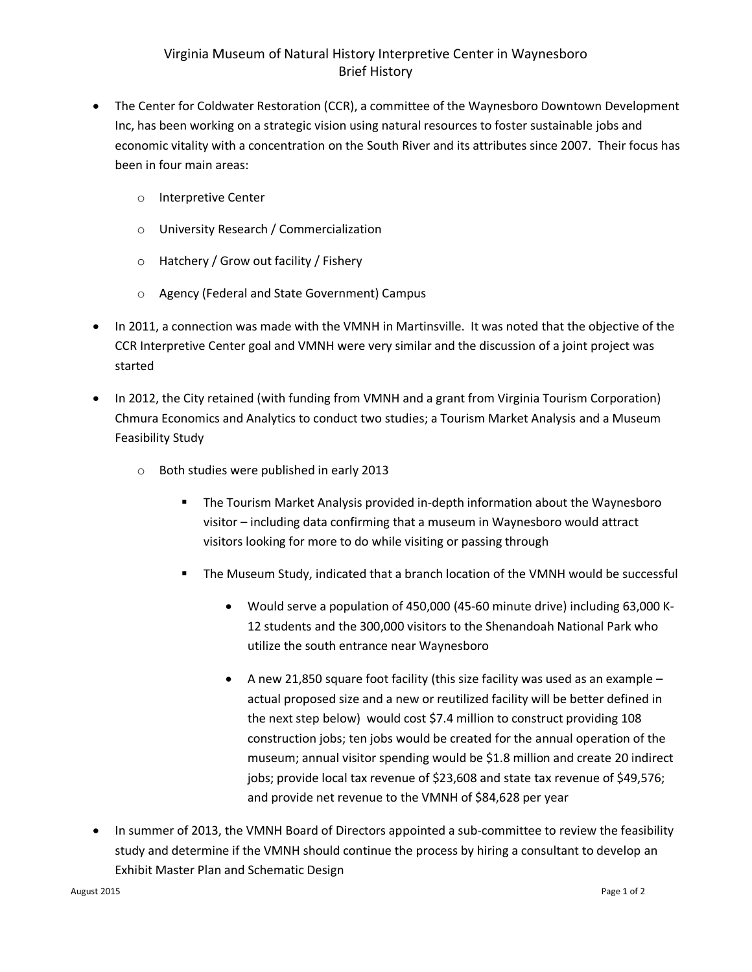## Virginia Museum of Natural History Interpretive Center in Waynesboro Brief History

- The Center for Coldwater Restoration (CCR), a committee of the Waynesboro Downtown Development Inc, has been working on a strategic vision using natural resources to foster sustainable jobs and economic vitality with a concentration on the South River and its attributes since 2007. Their focus has been in four main areas:
	- o Interpretive Center
	- o University Research / Commercialization
	- o Hatchery / Grow out facility / Fishery
	- o Agency (Federal and State Government) Campus
- In 2011, a connection was made with the VMNH in Martinsville. It was noted that the objective of the CCR Interpretive Center goal and VMNH were very similar and the discussion of a joint project was started
- In 2012, the City retained (with funding from VMNH and a grant from Virginia Tourism Corporation) Chmura Economics and Analytics to conduct two studies; a Tourism Market Analysis and a Museum Feasibility Study
	- o Both studies were published in early 2013
		- The Tourism Market Analysis provided in-depth information about the Waynesboro visitor – including data confirming that a museum in Waynesboro would attract visitors looking for more to do while visiting or passing through
		- The Museum Study, indicated that a branch location of the VMNH would be successful
			- Would serve a population of 450,000 (45-60 minute drive) including 63,000 K-12 students and the 300,000 visitors to the Shenandoah National Park who utilize the south entrance near Waynesboro
			- A new 21,850 square foot facility (this size facility was used as an example  $$ actual proposed size and a new or reutilized facility will be better defined in the next step below) would cost \$7.4 million to construct providing 108 construction jobs; ten jobs would be created for the annual operation of the museum; annual visitor spending would be \$1.8 million and create 20 indirect jobs; provide local tax revenue of \$23,608 and state tax revenue of \$49,576; and provide net revenue to the VMNH of \$84,628 per year
- In summer of 2013, the VMNH Board of Directors appointed a sub-committee to review the feasibility study and determine if the VMNH should continue the process by hiring a consultant to develop an Exhibit Master Plan and Schematic Design